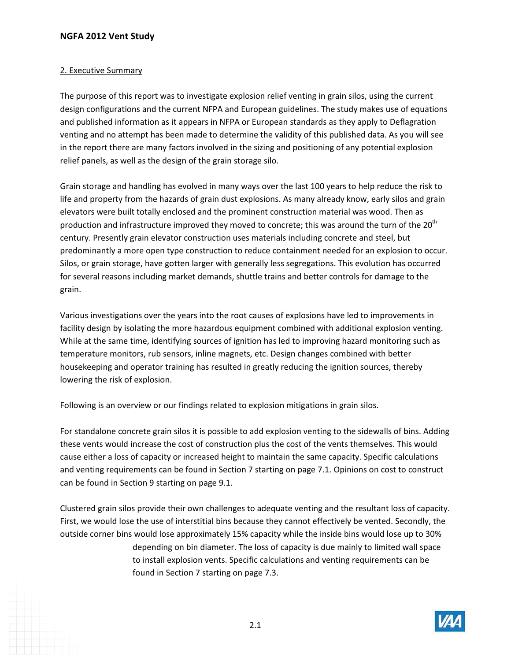## **NGFA 2012 Vent Study**

## 2. Executive Summary

The purpose of this report was to investigate explosion relief venting in grain silos, using the current design configurations and the current NFPA and European guidelines. The study makes use of equations and published information as it appears in NFPA or European standards as they apply to Deflagration venting and no attempt has been made to determine the validity of this published data. As you will see in the report there are many factors involved in the sizing and positioning of any potential explosion relief panels, as well as the design of the grain storage silo.

Grain storage and handling has evolved in many ways over the last 100 years to help reduce the risk to life and property from the hazards of grain dust explosions. As many already know, early silos and grain elevators were built totally enclosed and the prominent construction material was wood. Then as production and infrastructure improved they moved to concrete; this was around the turn of the  $20<sup>th</sup>$ century. Presently grain elevator construction uses materials including concrete and steel, but predominantly a more open type construction to reduce containment needed for an explosion to occur. Silos, or grain storage, have gotten larger with generally less segregations. This evolution has occurred for several reasons including market demands, shuttle trains and better controls for damage to the grain.

Various investigations over the years into the root causes of explosions have led to improvements in facility design by isolating the more hazardous equipment combined with additional explosion venting. While at the same time, identifying sources of ignition has led to improving hazard monitoring such as temperature monitors, rub sensors, inline magnets, etc. Design changes combined with better housekeeping and operator training has resulted in greatly reducing the ignition sources, thereby lowering the risk of explosion.

Following is an overview or our findings related to explosion mitigations in grain silos.

For standalone concrete grain silos it is possible to add explosion venting to the sidewalls of bins. Adding these vents would increase the cost of construction plus the cost of the vents themselves. This would cause either a loss of capacity or increased height to maintain the same capacity. Specific calculations and venting requirements can be found in Section 7 starting on page 7.1. Opinions on cost to construct can be found in Section 9 starting on page 9.1.

Clustered grain silos provide their own challenges to adequate venting and the resultant loss of capacity. First, we would lose the use of interstitial bins because they cannot effectively be vented. Secondly, the outside corner bins would lose approximately 15% capacity while the inside bins would lose up to 30% depending on bin diameter. The loss of capacity is due mainly to limited wall space to install explosion vents. Specific calculations and venting requirements can be found in Section 7 starting on page 7.3.